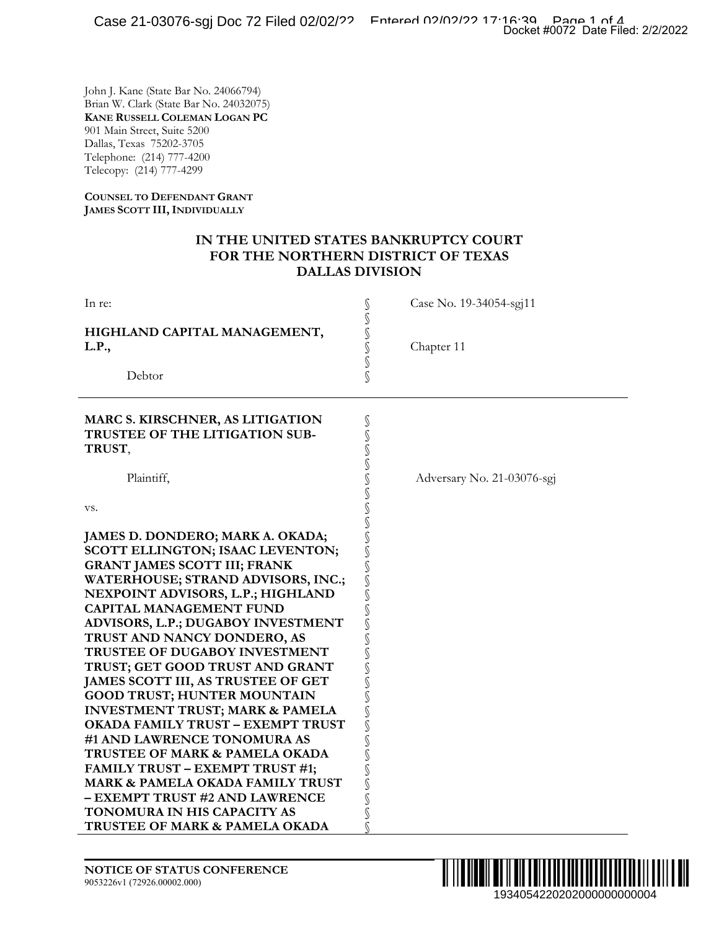### **IN THE UNITED STATES BANKRUPTCY COURT FOR THE NORTHERN DISTRICT OF TEXAS DALLAS DIVISION**

| ~~~ == ~~~ · ~ ~~                                                                                                                                                                                                                                                                                                                                                                                                                                                                                                                                                                                                                                                                                                                                                                         | Docket #0072 Date Filed: 2/2/2022    |
|-------------------------------------------------------------------------------------------------------------------------------------------------------------------------------------------------------------------------------------------------------------------------------------------------------------------------------------------------------------------------------------------------------------------------------------------------------------------------------------------------------------------------------------------------------------------------------------------------------------------------------------------------------------------------------------------------------------------------------------------------------------------------------------------|--------------------------------------|
| John J. Kane (State Bar No. 24066794)<br>Brian W. Clark (State Bar No. 24032075)<br><b>KANE RUSSELL COLEMAN LOGAN PC</b><br>901 Main Street, Suite 5200<br>Dallas, Texas 75202-3705<br>Telephone: (214) 777-4200<br>Telecopy: (214) 777-4299                                                                                                                                                                                                                                                                                                                                                                                                                                                                                                                                              |                                      |
| <b>COUNSEL TO DEFENDANT GRANT</b><br>JAMES SCOTT III, INDIVIDUALLY                                                                                                                                                                                                                                                                                                                                                                                                                                                                                                                                                                                                                                                                                                                        |                                      |
| IN THE UNITED STATES BANKRUPTCY COURT<br>FOR THE NORTHERN DISTRICT OF TEXAS<br><b>DALLAS DIVISION</b>                                                                                                                                                                                                                                                                                                                                                                                                                                                                                                                                                                                                                                                                                     |                                      |
| In re:                                                                                                                                                                                                                                                                                                                                                                                                                                                                                                                                                                                                                                                                                                                                                                                    | Case No. 19-34054-sgj11              |
| HIGHLAND CAPITAL MANAGEMENT,<br>L.P.,                                                                                                                                                                                                                                                                                                                                                                                                                                                                                                                                                                                                                                                                                                                                                     | しょうこく<br>Chapter 11                  |
| Debtor                                                                                                                                                                                                                                                                                                                                                                                                                                                                                                                                                                                                                                                                                                                                                                                    | S                                    |
| MARC S. KIRSCHNER, AS LITIGATION<br>TRUSTEE OF THE LITIGATION SUB-<br>TRUST,                                                                                                                                                                                                                                                                                                                                                                                                                                                                                                                                                                                                                                                                                                              | s<br>S                               |
| Plaintiff,                                                                                                                                                                                                                                                                                                                                                                                                                                                                                                                                                                                                                                                                                                                                                                                | Adversary No. 21-03076-sgj           |
| VS.                                                                                                                                                                                                                                                                                                                                                                                                                                                                                                                                                                                                                                                                                                                                                                                       | くうつう                                 |
| JAMES D. DONDERO; MARK A. OKADA;<br>SCOTT ELLINGTON; ISAAC LEVENTON;<br><b>GRANT JAMES SCOTT III; FRANK</b><br>WATERHOUSE; STRAND ADVISORS, INC.;<br>NEXPOINT ADVISORS, L.P.; HIGHLAND<br><b>CAPITAL MANAGEMENT FUND</b><br>ADVISORS, L.P.; DUGABOY INVESTMENT<br>TRUST AND NANCY DONDERO, AS<br>TRUSTEE OF DUGABOY INVESTMENT<br>TRUST; GET GOOD TRUST AND GRANT<br>JAMES SCOTT III, AS TRUSTEE OF GET<br><b>GOOD TRUST; HUNTER MOUNTAIN</b><br><b>INVESTMENT TRUST; MARK &amp; PAMELA</b><br><b>OKADA FAMILY TRUST - EXEMPT TRUST</b><br>#1 AND LAWRENCE TONOMURA AS<br>TRUSTEE OF MARK & PAMELA OKADA<br><b>FAMILY TRUST - EXEMPT TRUST #1;</b><br>MARK & PAMELA OKADA FAMILY TRUST<br>- EXEMPT TRUST #2 AND LAWRENCE<br>TONOMURA IN HIS CAPACITY AS<br>TRUSTEE OF MARK & PAMELA OKADA | S<br>S<br>S<br>S<br>S<br>s<br>S<br>S |
| <b>NOTICE OF STATUS CONFERENCE</b><br>9053226v1 (72926.00002.000)                                                                                                                                                                                                                                                                                                                                                                                                                                                                                                                                                                                                                                                                                                                         | 1934054220202000000000004            |

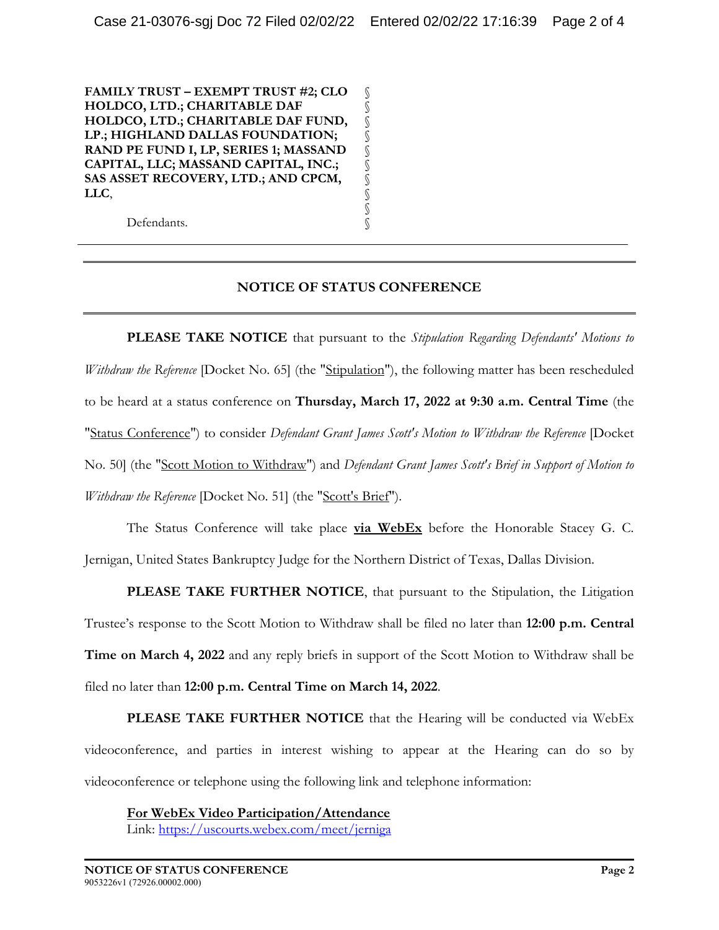§ § § § § § § § § §

**FAMILY TRUST – EXEMPT TRUST #2; CLO HOLDCO, LTD.; CHARITABLE DAF HOLDCO, LTD.; CHARITABLE DAF FUND, LP.; HIGHLAND DALLAS FOUNDATION; RAND PE FUND I, LP, SERIES 1; MASSAND CAPITAL, LLC; MASSAND CAPITAL, INC.; SAS ASSET RECOVERY, LTD.; AND CPCM, LLC**,

Defendants.

## **NOTICE OF STATUS CONFERENCE**

**PLEASE TAKE NOTICE** that pursuant to the *Stipulation Regarding Defendants' Motions to Withdraw the Reference* [Docket No. 65] (the "Stipulation"), the following matter has been rescheduled to be heard at a status conference on **Thursday, March 17, 2022 at 9:30 a.m. Central Time** (the "Status Conference") to consider *Defendant Grant James Scott's Motion to Withdraw the Reference* [Docket No. 50] (the "Scott Motion to Withdraw") and *Defendant Grant James Scott's Brief in Support of Motion to Withdraw the Reference* [Docket No. 51] (the "Scott's Brief").

 The Status Conference will take place **via WebEx** before the Honorable Stacey G. C. Jernigan, United States Bankruptcy Judge for the Northern District of Texas, Dallas Division.

**PLEASE TAKE FURTHER NOTICE**, that pursuant to the Stipulation, the Litigation Trustee's response to the Scott Motion to Withdraw shall be filed no later than **12:00 p.m. Central Time on March 4, 2022** and any reply briefs in support of the Scott Motion to Withdraw shall be filed no later than **12:00 p.m. Central Time on March 14, 2022**.

**PLEASE TAKE FURTHER NOTICE** that the Hearing will be conducted via WebEx videoconference, and parties in interest wishing to appear at the Hearing can do so by videoconference or telephone using the following link and telephone information:

**For WebEx Video Participation/Attendance**  Link: https://uscourts.webex.com/meet/jerniga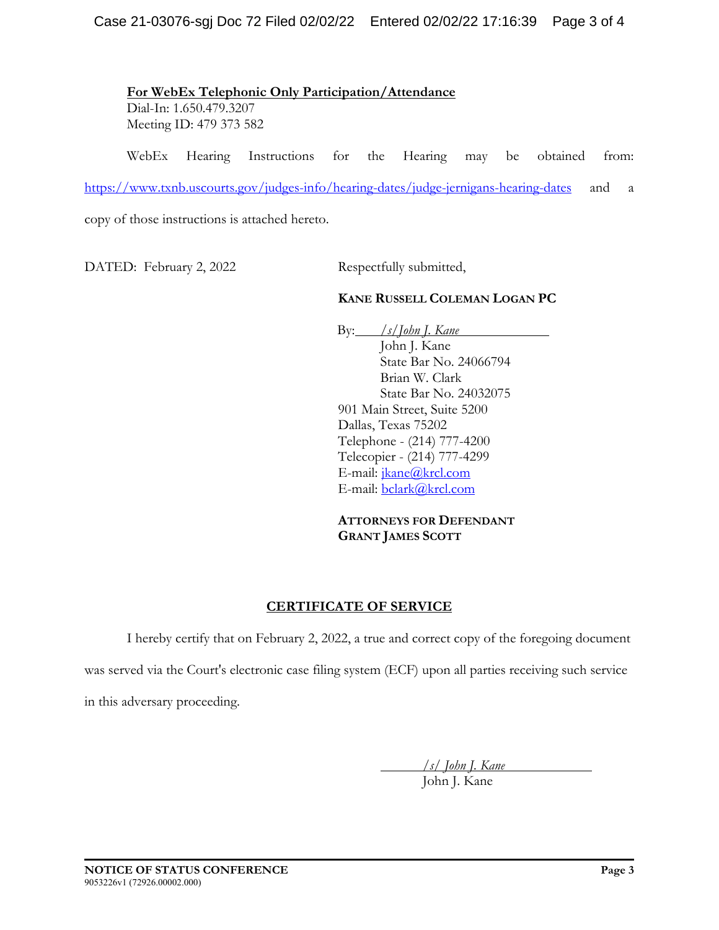**For WebEx Telephonic Only Participation/Attendance**  Dial-In: 1.650.479.3207 Meeting ID: 479 373 582

WebEx Hearing Instructions for the Hearing may be obtained from:

https://www.txnb.uscourts.gov/judges-info/hearing-dates/judge-jernigans-hearing-dates and a

copy of those instructions is attached hereto.

DATED: February 2, 2022 Respectfully submitted,

### **KANE RUSSELL COLEMAN LOGAN PC**

By: */s/John J. Kane* John J. Kane State Bar No. 24066794 Brian W. Clark State Bar No. 24032075 901 Main Street, Suite 5200 Dallas, Texas 75202 Telephone - (214) 777-4200 Telecopier - (214) 777-4299 E-mail: jkane@krcl.com E-mail: bclark@krcl.com

**ATTORNEYS FOR DEFENDANT GRANT JAMES SCOTT** 

## **CERTIFICATE OF SERVICE**

I hereby certify that on February 2, 2022, a true and correct copy of the foregoing document

was served via the Court's electronic case filing system (ECF) upon all parties receiving such service

in this adversary proceeding.

 */s/ John J. Kane* 

John J. Kane